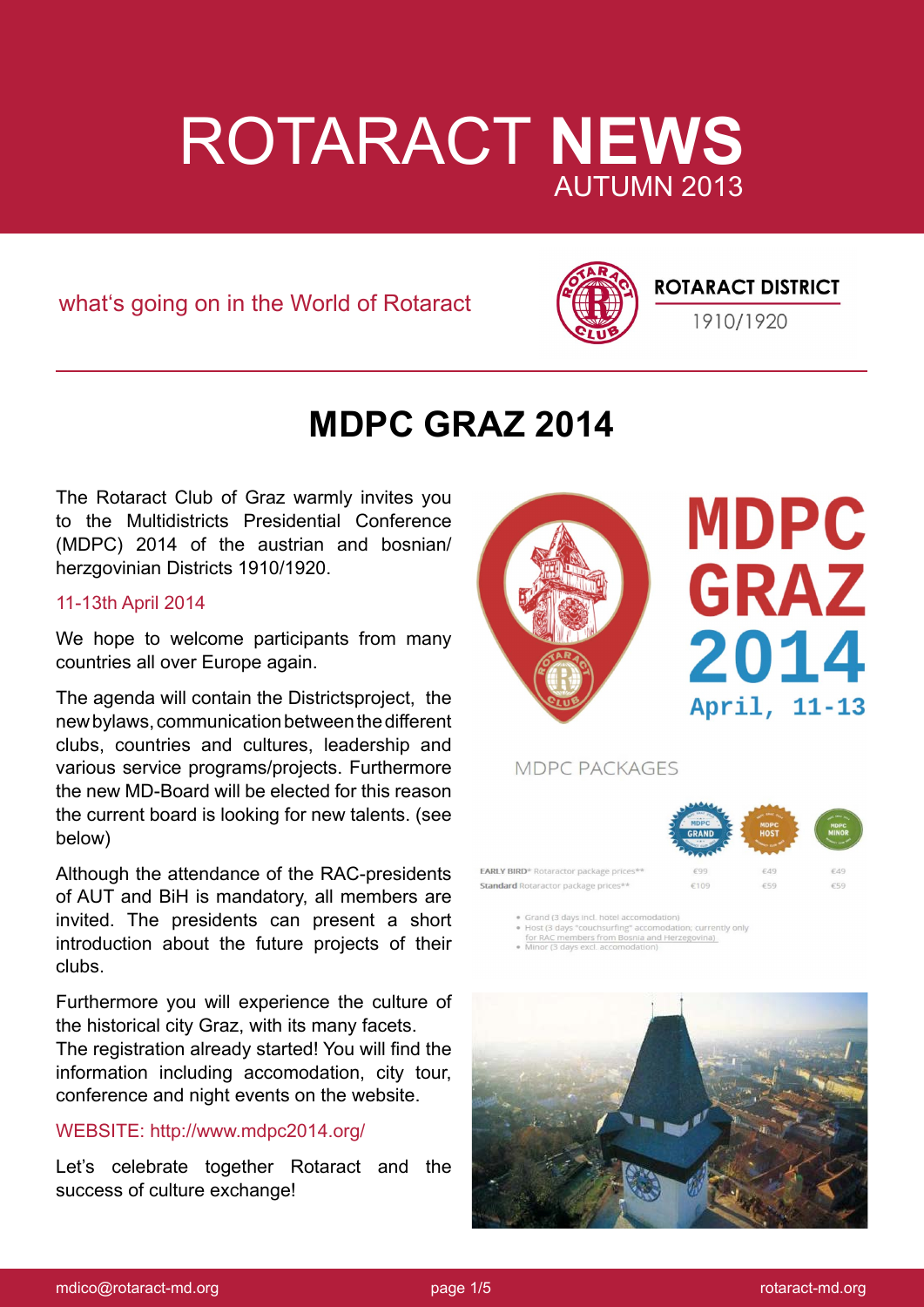

what's going on in the World of Rotaract



### **ROTARACT DISTRICT**

1910/1920

### **MDPC GRAZ 2014**

The Rotaract Club of Graz warmly invites you to the Multidistricts Presidential Conference (MDPC) 2014 of the austrian and bosnian/ herzgovinian Districts 1910/1920.

### 11-13th April 2014

We hope to welcome participants from many countries all over Europe again.

The agenda will contain the Districtsproject, the new bylaws, communication between the different clubs, countries and cultures, leadership and various service programs/projects. Furthermore the new MD-Board will be elected for this reason the current board is looking for new talents. (see below)

Although the attendance of the RAC-presidents of AUT and BiH is mandatory, all members are invited. The presidents can present a short introduction about the future projects of their clubs.

Furthermore you will experience the culture of the historical city Graz, with its many facets.

The registration already started! You will find the information including accomodation, city tour, conference and night events on the website.

### WEBSITE: http://www.mdpc2014.org/

Let's celebrate together Rotaract and the success of culture exchange!



# **MDPC GRAZ** 2014 April, 11-13

MDPC PACKAGES



Standard Rotaractor package prices\*\*

· Grand (3 days incl. hotel accomodation)

Shan Q Juays "couchsurfing" accomodation; currer<br>Host (3 days "couchsurfing" accomodation; currer<br>for RAC members from Bosnia and Herzegovina)<br>Minor (3 days excl. accomodation) .<br>tion; currently only

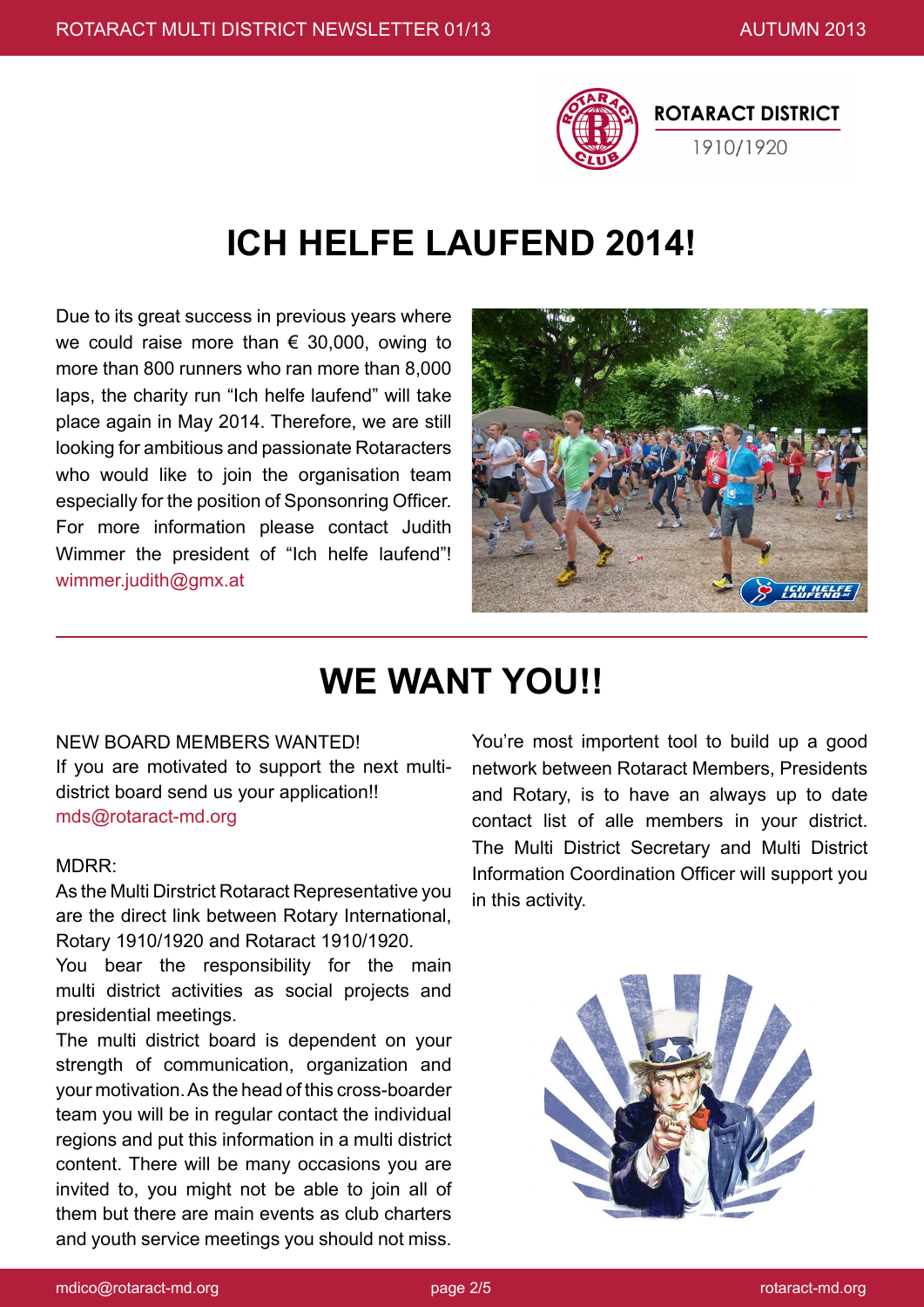

# **ICH HELFE LAUFEND 2014!**

Due to its great success in previous years where we could raise more than  $\epsilon$  30,000, owing to more than 800 runners who ran more than 8,000 laps, the charity run "Ich helfe laufend" will take place again in May 2014. Therefore, we are still looking for ambitious and passionate Rotaracters who would like to join the organisation team especially for the position of Sponsonring Officer. For more information please contact Judith Wimmer the president of "Ich helfe laufend"! wimmer.judith@gmx.at



### **WE WANT YOU!!**

#### NEW BOARD MEMBERS WANTED!

If you are motivated to support the next multidistrict board send us your application!! mds@rotaract-md.org

#### MDRR:

As the Multi Dirstrict Rotaract Representative you are the direct link between Rotary International, Rotary 1910/1920 and Rotaract 1910/1920.

You bear the responsibility for the main multi district activities as social projects and presidential meetings.

The multi district board is dependent on your strength of communication, organization and your motivation. As the head of this cross-boarder team you will be in regular contact the individual regions and put this information in a multi district content. There will be many occasions you are invited to, you might not be able to join all of them but there are main events as club charters and youth service meetings you should not miss.

You're most importent tool to build up a good network between Rotaract Members, Presidents and Rotary, is to have an always up to date contact list of alle members in your district. The Multi District Secretary and Multi District Information Coordination Officer will support you in this activity.

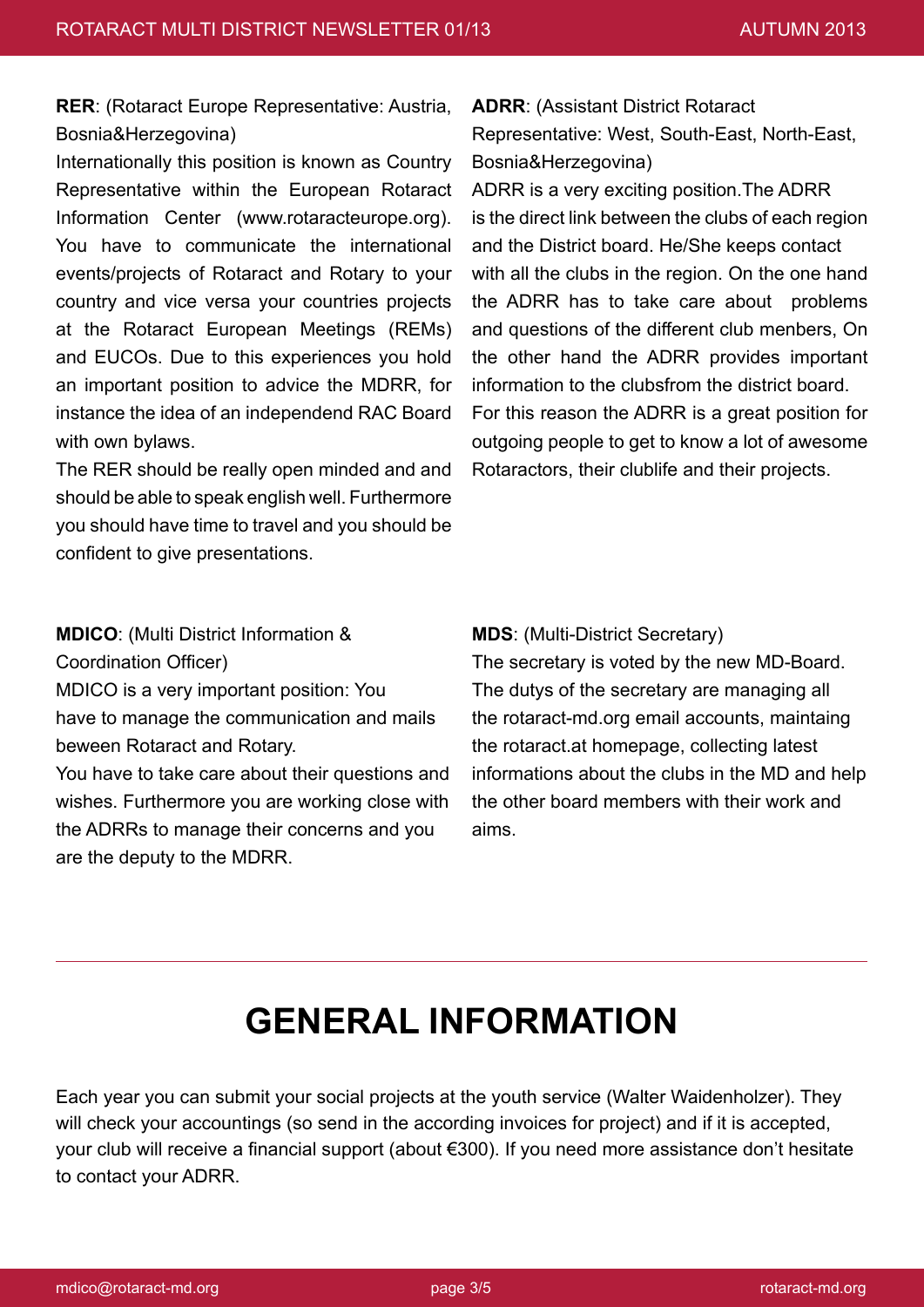**RER**: (Rotaract Europe Representative: Austria, Bosnia&Herzegovina)

Internationally this position is known as Country Representative within the European Rotaract Information Center (www.rotaracteurope.org). You have to communicate the international events/projects of Rotaract and Rotary to your country and vice versa your countries projects at the Rotaract European Meetings (REMs) and EUCOs. Due to this experiences you hold an important position to advice the MDRR, for instance the idea of an independend RAC Board with own bylaws.

The RER should be really open minded and and should be able to speak english well. Furthermore you should have time to travel and you should be confident to give presentations.

**ADRR**: (Assistant District Rotaract Representative: West, South-East, North-East, Bosnia&Herzegovina)

ADRR is a very exciting position.The ADRR is the direct link between the clubs of each region and the District board. He/She keeps contact with all the clubs in the region. On the one hand the ADRR has to take care about problems and questions of the different club menbers, On the other hand the ADRR provides important information to the clubsfrom the district board. For this reason the ADRR is a great position for outgoing people to get to know a lot of awesome Rotaractors, their clublife and their projects.

**MDICO**: (Multi District Information & Coordination Officer) MDICO is a very important position: You

have to manage the communication and mails beween Rotaract and Rotary.

You have to take care about their questions and wishes. Furthermore you are working close with the ADRRs to manage their concerns and you are the deputy to the MDRR.

**MDS**: (Multi-District Secretary)

The secretary is voted by the new MD-Board. The dutys of the secretary are managing all the rotaract-md.org email accounts, maintaing the rotaract.at homepage, collecting latest informations about the clubs in the MD and help the other board members with their work and aims.

### **GENERAL INFORMATION**

Each year you can submit your social projects at the youth service (Walter Waidenholzer). They will check your accountings (so send in the according invoices for project) and if it is accepted, your club will receive a financial support (about €300). If you need more assistance don't hesitate to contact your ADRR.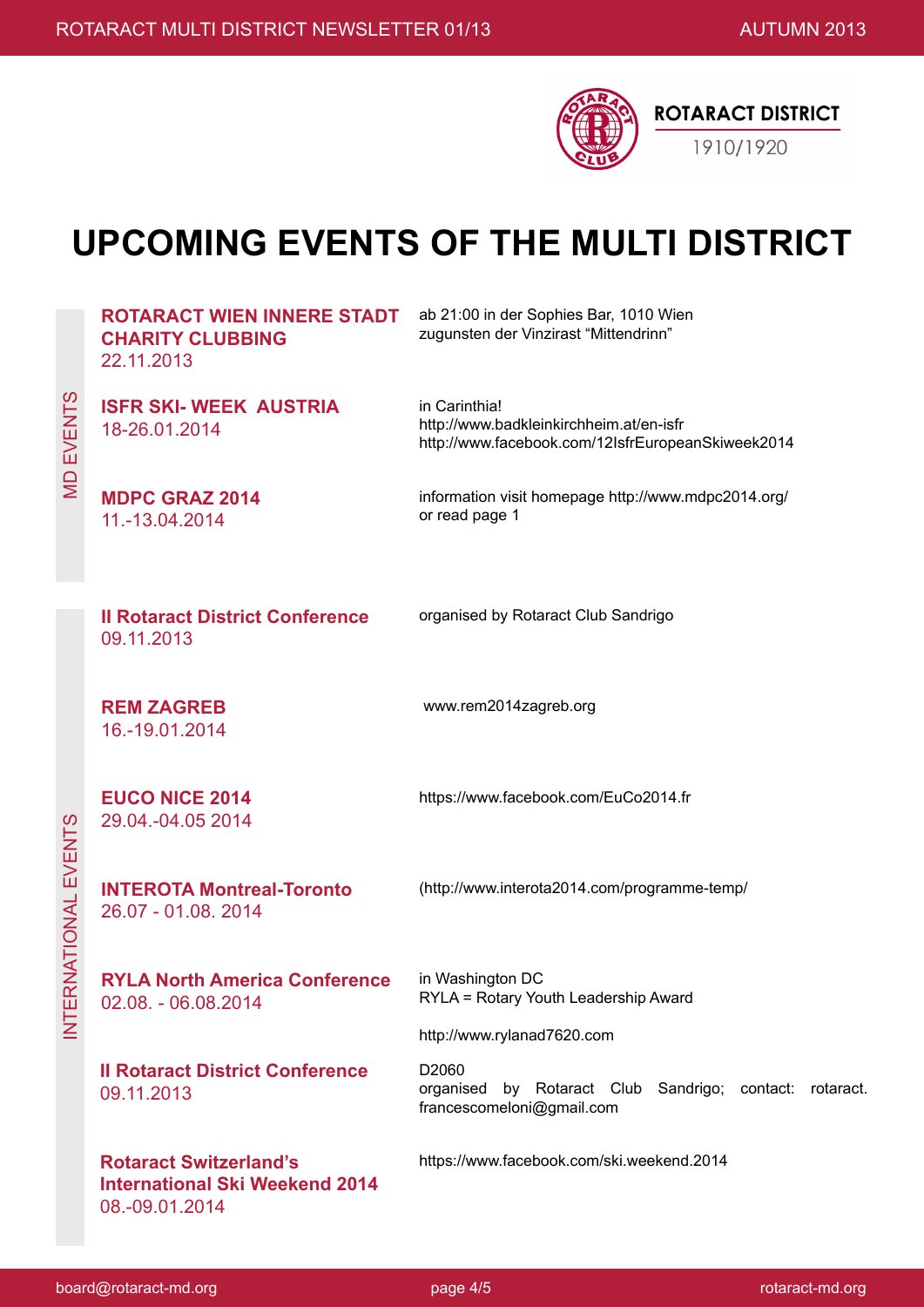

# **UPCOMING EVENTS OF THE MULTI DISTRICT**

|  | <b>ROTARACT WIEN INNERE STADT</b><br><b>CHARITY CLUBBING</b><br>22.11.2013               | ab 21:00 in der Sophies Bar, 1010 Wien<br>zugunsten der Vinzirast "Mittendrinn"                               |
|--|------------------------------------------------------------------------------------------|---------------------------------------------------------------------------------------------------------------|
|  | <b>ISFR SKI- WEEK AUSTRIA</b><br>18-26.01.2014                                           | in Carinthia!<br>http://www.badkleinkirchheim.at/en-isfr<br>http://www.facebook.com/12IsfrEuropeanSkiweek2014 |
|  | <b>MDPC GRAZ 2014</b><br>11.-13.04.2014                                                  | information visit homepage http://www.mdpc2014.org/<br>or read page 1                                         |
|  | <b>Il Rotaract District Conference</b><br>09.11.2013                                     | organised by Rotaract Club Sandrigo                                                                           |
|  | <b>REM ZAGREB</b><br>16.-19.01.2014                                                      | www.rem2014zagreb.org                                                                                         |
|  | <b>EUCO NICE 2014</b><br>29.04.-04.05 2014                                               | https://www.facebook.com/EuCo2014.fr                                                                          |
|  | <b>INTEROTA Montreal-Toronto</b><br>26.07 - 01.08.2014                                   | (http://www.interota2014.com/programme-temp/                                                                  |
|  | <b>RYLA North America Conference</b><br>02.08. - 06.08.2014                              | in Washington DC<br>RYLA = Rotary Youth Leadership Award                                                      |
|  |                                                                                          | http://www.rylanad7620.com                                                                                    |
|  | <b>Il Rotaract District Conference</b><br>09.11.2013                                     | D2060<br>by Rotaract Club Sandrigo; contact:<br>organised<br>rotaract.<br>francescomeloni@gmail.com           |
|  | <b>Rotaract Switzerland's</b><br><b>International Ski Weekend 2014</b><br>08.-09.01.2014 | https://www.facebook.com/ski.weekend.2014                                                                     |

**MD EVENTS** MD EVENTS

INTERNATIONAL FVENTS INTERNATIONAL EVENTS